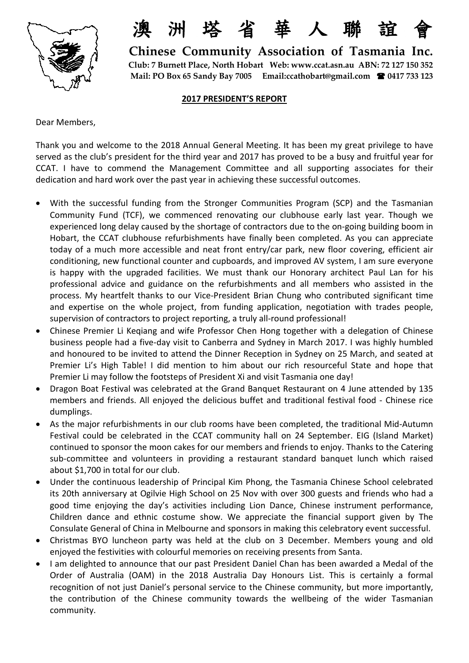

洲塔省華人聯誼

 **Chinese Community Association of Tasmania Inc. Club: 7 Burnett Place, North Hobart Web[: www.ccat.asn.au](http://www.ccat.asn.au/) ABN: 72 127 150 352 Mail: PO Box 65 Sandy Bay 7005 Email:ccathobart@gmail.com 0417 733 123** 

## **2017 PRESIDENT'S REPORT**

Dear Members,

Thank you and welcome to the 2018 Annual General Meeting. It has been my great privilege to have served as the club's president for the third year and 2017 has proved to be a busy and fruitful year for CCAT. I have to commend the Management Committee and all supporting associates for their dedication and hard work over the past year in achieving these successful outcomes.

- With the successful funding from the Stronger Communities Program (SCP) and the Tasmanian Community Fund (TCF), we commenced renovating our clubhouse early last year. Though we experienced long delay caused by the shortage of contractors due to the on-going building boom in Hobart, the CCAT clubhouse refurbishments have finally been completed. As you can appreciate today of a much more accessible and neat front entry/car park, new floor covering, efficient air conditioning, new functional counter and cupboards, and improved AV system, I am sure everyone is happy with the upgraded facilities. We must thank our Honorary architect Paul Lan for his professional advice and guidance on the refurbishments and all members who assisted in the process. My heartfelt thanks to our Vice-President Brian Chung who contributed significant time and expertise on the whole project, from funding application, negotiation with trades people, supervision of contractors to project reporting, a truly all-round professional!
- Chinese Premier Li Keqiang and wife Professor Chen Hong together with a delegation of Chinese business people had a five-day visit to Canberra and Sydney in March 2017. I was highly humbled and honoured to be invited to attend the Dinner Reception in Sydney on 25 March, and seated at Premier Li's High Table! I did mention to him about our rich resourceful State and hope that Premier Li may follow the footsteps of President Xi and visit Tasmania one day!
- Dragon Boat Festival was celebrated at the Grand Banquet Restaurant on 4 June attended by 135 members and friends. All enjoyed the delicious buffet and traditional festival food - Chinese rice dumplings.
- As the major refurbishments in our club rooms have been completed, the traditional Mid-Autumn Festival could be celebrated in the CCAT community hall on 24 September. EIG (Island Market) continued to sponsor the moon cakes for our members and friends to enjoy. Thanks to the Catering sub-committee and volunteers in providing a restaurant standard banquet lunch which raised about \$1,700 in total for our club.
- Under the continuous leadership of Principal Kim Phong, the Tasmania Chinese School celebrated its 20th anniversary at Ogilvie High School on 25 Nov with over 300 guests and friends who had a good time enjoying the day's activities including Lion Dance, Chinese instrument performance, Children dance and ethnic costume show. We appreciate the financial support given by The Consulate General of China in Melbourne and sponsors in making this celebratory event successful.
- Christmas BYO luncheon party was held at the club on 3 December. Members young and old enjoyed the festivities with colourful memories on receiving presents from Santa.
- I am delighted to announce that our past President Daniel Chan has been awarded a Medal of the Order of Australia (OAM) in the 2018 Australia Day Honours List. This is certainly a formal recognition of not just Daniel's personal service to the Chinese community, but more importantly, the contribution of the Chinese community towards the wellbeing of the wider Tasmanian community.